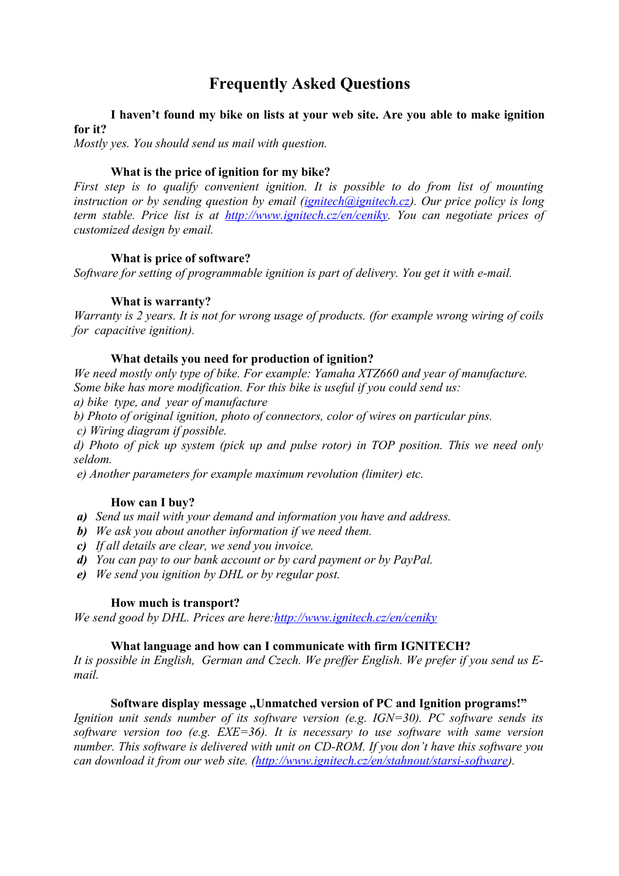# **Frequently Asked Questions**

# **I haven't found my bike on lists at your web site. Are you able to make ignition for it?**

*Mostly yes. You should send us mail with question.*

## **What is the price of ignition for my bike?**

*First step is to qualify convenient ignition. It is possible to do from list of mounting instruction or by sending question by email [\(ignitech@ignitech.cz\)](mailto:ignitech@ignitech.cz). Our price policy is long term stable. Price list is at [http://www.ignitech.cz/en/ceniky.](http://www.ignitech.cz/en/ceniky) You can negotiate prices of customized design by email.*

#### **What is price of software?**

*Software for setting of programmable ignition is part of delivery. You get it with e-mail.*

#### **What is warranty?**

*Warranty is 2 years. It is not for wrong usage of products. (for example wrong wiring of coils for capacitive ignition).*

#### **What details you need for production of ignition?**

*We need mostly only type of bike. For example: Yamaha XTZ660 and year of manufacture. Some bike has more modification. For this bike is useful if you could send us:*

*a) bike type, and year of manufacture*

- *b) Photo of original ignition, photo of connectors, color of wires on particular pins.*
- *c) Wiring diagram if possible.*

*d) Photo of pick up system (pick up and pulse rotor) in TOP position. This we need only seldom.*

 *e) Another parameters for example maximum revolution (limiter) etc.*

#### **How can I buy?**

- *a) Send us mail with your demand and information you have and address.*
- *b) We ask you about another information if we need them.*
- *c) If all details are clear, we send you invoice.*
- *d) You can pay to our bank account or by card payment or by PayPal.*
- *e) We send you ignition by DHL or by regular post.*

#### **How much is transport?**

*We send good by DHL. Prices are here: http://www.ignitech.cz/en/ceniky* 

#### **What language and how can I communicate with firm IGNITECH?**

*It is possible in English, German and Czech. We preffer English. We prefer if you send us Email.*

#### **Software display message ... Unmatched version of PC and Ignition programs!"**

*Ignition unit sends number of its software version (e.g. IGN=30). PC software sends its software version too (e.g. EXE=36). It is necessary to use software with same version number. This software is delivered with unit on CD-ROM. If you don't have this software you can download it from our web site. [\(http://www.ignitech.cz/en/stahnout/starsi-software\)](http://www.ignitech.cz/en/stahnout/starsi-software).*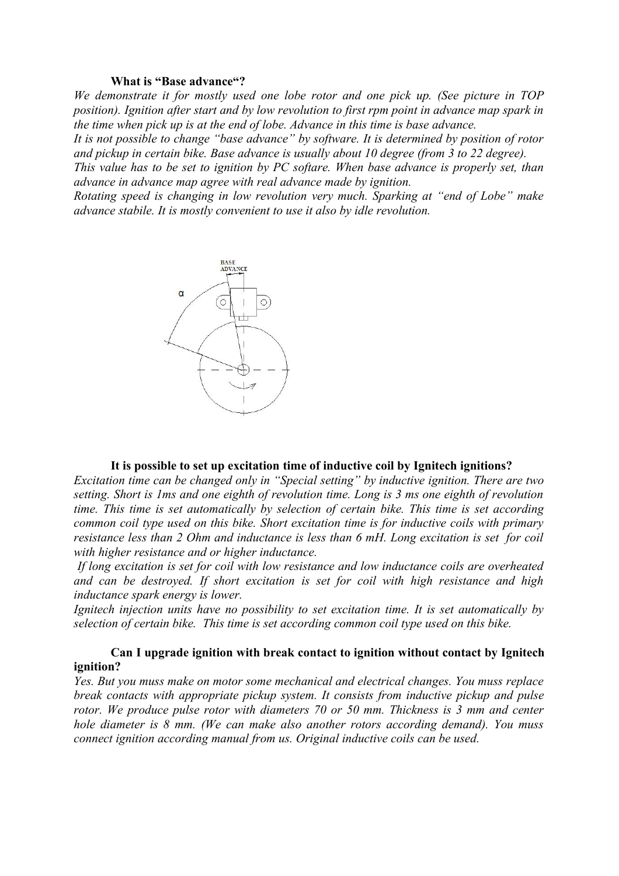#### **What is "Base advance"?**

*We demonstrate it for mostly used one lobe rotor and one pick up. (See picture in TOP position). Ignition after start and by low revolution to first rpm point in advance map spark in the time when pick up is at the end of lobe. Advance in this time is base advance.*

*It is not possible to change "base advance" by software. It is determined by position of rotor and pickup in certain bike. Base advance is usually about 10 degree (from 3 to 22 degree).*

*This value has to be set to ignition by PC softare. When base advance is properly set, than advance in advance map agree with real advance made by ignition.*

*Rotating speed is changing in low revolution very much. Sparking at "end of Lobe" make advance stabile. It is mostly convenient to use it also by idle revolution.* 



#### **It is possible to set up excitation time of inductive coil by Ignitech ignitions?**

*Excitation time can be changed only in "Special setting" by inductive ignition. There are two setting. Short is 1ms and one eighth of revolution time. Long is 3 ms one eighth of revolution time. This time is set automatically by selection of certain bike. This time is set according common coil type used on this bike. Short excitation time is for inductive coils with primary resistance less than 2 Ohm and inductance is less than 6 mH. Long excitation is set for coil with higher resistance and or higher inductance.*

 *If long excitation is set for coil with low resistance and low inductance coils are overheated and can be destroyed. If short excitation is set for coil with high resistance and high inductance spark energy is lower.*

*Ignitech injection units have no possibility to set excitation time. It is set automatically by selection of certain bike. This time is set according common coil type used on this bike.*

#### **Can I upgrade ignition with break contact to ignition without contact by Ignitech ignition?**

*Yes. But you muss make on motor some mechanical and electrical changes. You muss replace break contacts with appropriate pickup system. It consists from inductive pickup and pulse rotor. We produce pulse rotor with diameters 70 or 50 mm. Thickness is 3 mm and center hole diameter is 8 mm. (We can make also another rotors according demand). You muss connect ignition according manual from us. Original inductive coils can be used.*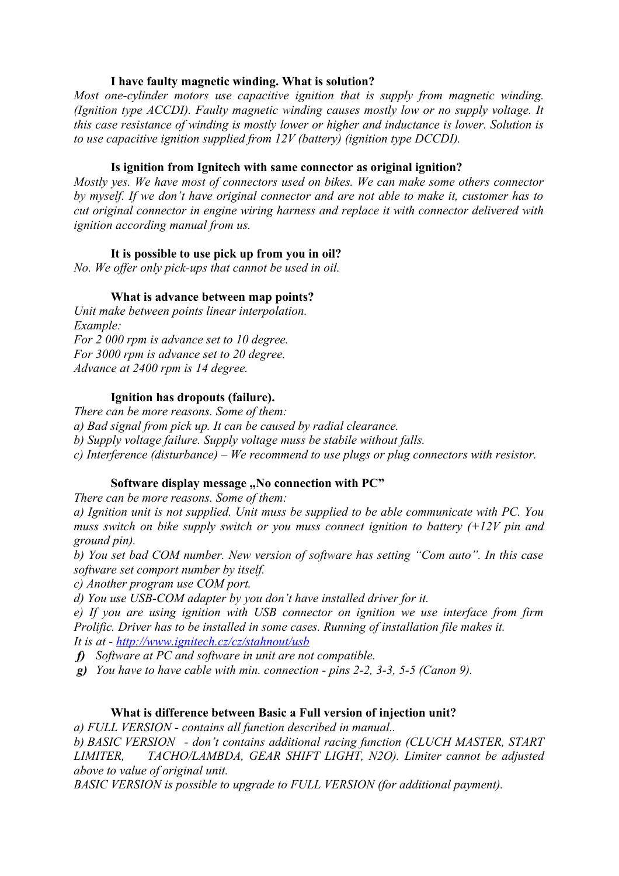## **I have faulty magnetic winding. What is solution?**

*Most one-cylinder motors use capacitive ignition that is supply from magnetic winding. (Ignition type ACCDI). Faulty magnetic winding causes mostly low or no supply voltage. It this case resistance of winding is mostly lower or higher and inductance is lower. Solution is to use capacitive ignition supplied from 12V (battery) (ignition type DCCDI).*

## **Is ignition from Ignitech with same connector as original ignition?**

*Mostly yes. We have most of connectors used on bikes. We can make some others connector by myself. If we don't have original connector and are not able to make it, customer has to cut original connector in engine wiring harness and replace it with connector delivered with ignition according manual from us.*

## **It is possible to use pick up from you in oil?**

*No. We offer only pick-ups that cannot be used in oil.*

## **What is advance between map points?**

*Unit make between points linear interpolation. Example: For 2 000 rpm is advance set to 10 degree. For 3000 rpm is advance set to 20 degree. Advance at 2400 rpm is 14 degree.*

## **Ignition has dropouts (failure).**

*There can be more reasons. Some of them: a) Bad signal from pick up. It can be caused by radial clearance. b) Supply voltage failure. Supply voltage muss be stabile without falls. c) Interference (disturbance) – We recommend to use plugs or plug connectors with resistor.* 

## Software display message "No connection with PC"

*There can be more reasons. Some of them:*

*a) Ignition unit is not supplied. Unit muss be supplied to be able communicate with PC. You muss switch on bike supply switch or you muss connect ignition to battery (+12V pin and ground pin).*

*b) You set bad COM number. New version of software has setting "Com auto". In this case software set comport number by itself.* 

*c) Another program use COM port.*

*d) You use USB-COM adapter by you don't have installed driver for it.*

*e) If you are using ignition with USB connector on ignition we use interface from firm Prolific. Driver has to be installed in some cases. Running of installation file makes it. It is at -<http://www.ignitech.cz/cz/stahnout/usb>*

*f) Software at PC and software in unit are not compatible.* 

*g) You have to have cable with min. connection - pins 2-2, 3-3, 5-5 (Canon 9).*

#### **What is difference between Basic a Full version of injection unit?**

*a) FULL VERSION - contains all function described in manual..*

*b) BASIC VERSION - don't contains additional racing function (CLUCH MASTER, START LIMITER, TACHO/LAMBDA, GEAR SHIFT LIGHT, N2O). Limiter cannot be adjusted above to value of original unit.*

*BASIC VERSION is possible to upgrade to FULL VERSION (for additional payment).*